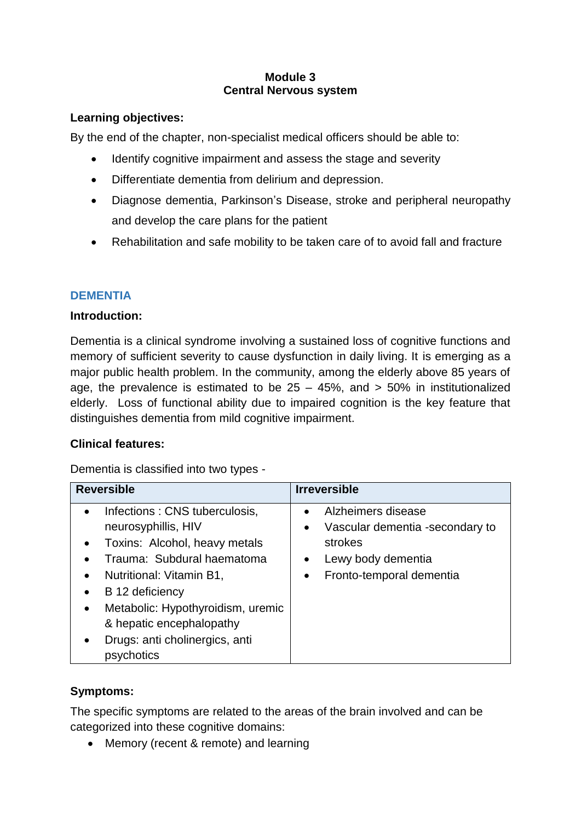## **Module 3 Central Nervous system**

## **Learning objectives:**

By the end of the chapter, non-specialist medical officers should be able to:

- Identify cognitive impairment and assess the stage and severity
- Differentiate dementia from delirium and depression.
- Diagnose dementia, Parkinson's Disease, stroke and peripheral neuropathy and develop the care plans for the patient
- Rehabilitation and safe mobility to be taken care of to avoid fall and fracture

## **DEMENTIA**

## **Introduction:**

Dementia is a clinical syndrome involving a sustained loss of cognitive functions and memory of sufficient severity to cause dysfunction in daily living. It is emerging as a major public health problem. In the community, among the elderly above 85 years of age, the prevalence is estimated to be  $25 - 45\%$ , and  $> 50\%$  in institutionalized elderly. Loss of functional ability due to impaired cognition is the key feature that distinguishes dementia from mild cognitive impairment.

## **Clinical features:**

Dementia is classified into two types -

| <b>Reversible</b>                              | <b>Irreversible</b>                          |
|------------------------------------------------|----------------------------------------------|
| Infections: CNS tuberculosis,                  | Alzheimers disease                           |
| neurosyphillis, HIV                            | Vascular dementia -secondary to<br>$\bullet$ |
| Toxins: Alcohol, heavy metals<br>$\bullet$     | strokes                                      |
| Trauma: Subdural haematoma                     | Lewy body dementia<br>$\bullet$              |
| Nutritional: Vitamin B1,<br>$\bullet$          | Fronto-temporal dementia<br>$\bullet$        |
| B 12 deficiency<br>$\bullet$                   |                                              |
| Metabolic: Hypothyroidism, uremic<br>$\bullet$ |                                              |
| & hepatic encephalopathy                       |                                              |
| Drugs: anti cholinergics, anti<br>$\bullet$    |                                              |
| psychotics                                     |                                              |

## **Symptoms:**

The specific symptoms are related to the areas of the brain involved and can be categorized into these cognitive domains:

• Memory (recent & remote) and learning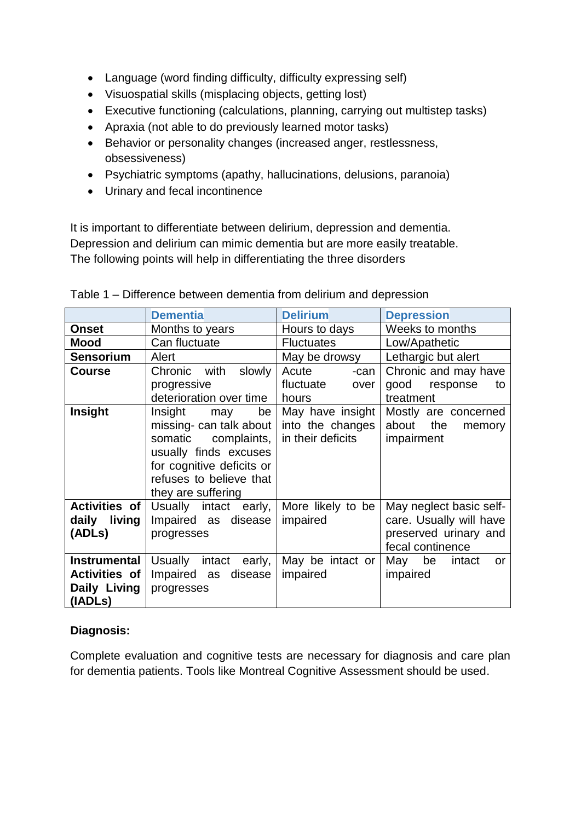- Language (word finding difficulty, difficulty expressing self)
- Visuospatial skills (misplacing objects, getting lost)
- Executive functioning (calculations, planning, carrying out multistep tasks)
- Apraxia (not able to do previously learned motor tasks)
- Behavior or personality changes (increased anger, restlessness, obsessiveness)
- Psychiatric symptoms (apathy, hallucinations, delusions, paranoia)
- Urinary and fecal incontinence

It is important to differentiate between delirium, depression and dementia. Depression and delirium can mimic dementia but are more easily treatable. The following points will help in differentiating the three disorders

|                                                                        | <b>Dementia</b>                                                                                                                                                               | <b>Delirium</b>                                           | <b>Depression</b>                                                                               |
|------------------------------------------------------------------------|-------------------------------------------------------------------------------------------------------------------------------------------------------------------------------|-----------------------------------------------------------|-------------------------------------------------------------------------------------------------|
| <b>Onset</b>                                                           | Months to years                                                                                                                                                               | Hours to days                                             | Weeks to months                                                                                 |
| <b>Mood</b>                                                            | Can fluctuate                                                                                                                                                                 | <b>Fluctuates</b>                                         | Low/Apathetic                                                                                   |
| <b>Sensorium</b>                                                       | Alert                                                                                                                                                                         | May be drowsy                                             | Lethargic but alert                                                                             |
| <b>Course</b>                                                          | Chronic with<br>slowly                                                                                                                                                        | Acute<br>-can                                             | Chronic and may have                                                                            |
|                                                                        | progressive                                                                                                                                                                   | fluctuate<br>over                                         | good<br>response<br>to                                                                          |
|                                                                        | deterioration over time                                                                                                                                                       | hours                                                     | treatment                                                                                       |
| Insight                                                                | Insight<br>be<br>may<br>missing- can talk about<br>somatic complaints,<br>usually finds excuses<br>for cognitive deficits or<br>refuses to believe that<br>they are suffering | May have insight<br>into the changes<br>in their deficits | Mostly are concerned<br>about the<br>memory<br>impairment                                       |
| <b>Activities of</b><br>daily living<br>(ADLs)                         | Usually intact early,<br>Impaired as disease<br>progresses                                                                                                                    | More likely to be<br>impaired                             | May neglect basic self-<br>care. Usually will have<br>preserved urinary and<br>fecal continence |
| <b>Instrumental</b><br><b>Activities of</b><br>Daily Living<br>(IADLs) | Usually intact<br>early,<br>Impaired as<br>disease<br>progresses                                                                                                              | May be intact or<br>impaired                              | May be<br>intact<br>or<br>impaired                                                              |

Table 1 – Difference between dementia from delirium and depression

# **Diagnosis:**

Complete evaluation and cognitive tests are necessary for diagnosis and care plan for dementia patients. Tools like Montreal Cognitive Assessment should be used.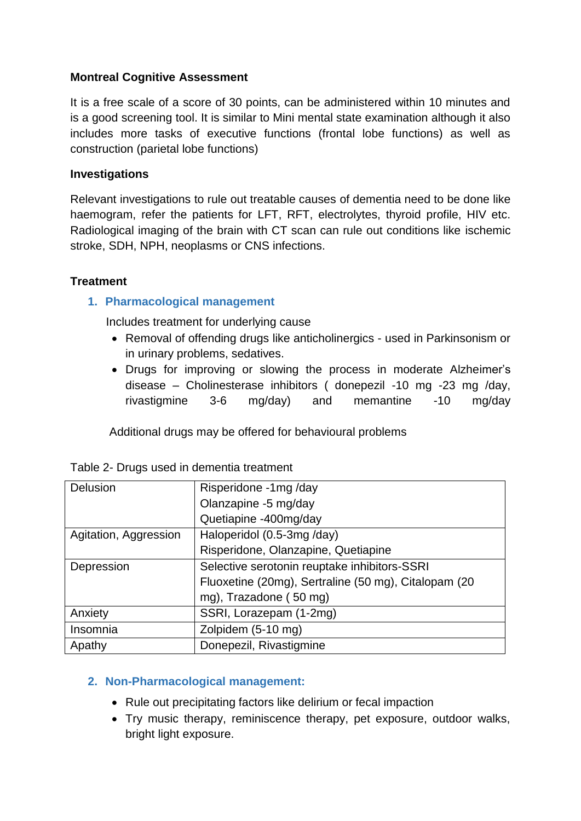## **Montreal Cognitive Assessment**

It is a free scale of a score of 30 points, can be administered within 10 minutes and is a good screening tool. It is similar to Mini mental state examination although it also includes more tasks of executive functions (frontal lobe functions) as well as construction (parietal lobe functions)

#### **Investigations**

Relevant investigations to rule out treatable causes of dementia need to be done like haemogram, refer the patients for LFT, RFT, electrolytes, thyroid profile, HIV etc. Radiological imaging of the brain with CT scan can rule out conditions like ischemic stroke, SDH, NPH, neoplasms or CNS infections.

## **Treatment**

## **1. Pharmacological management**

Includes treatment for underlying cause

- Removal of offending drugs like anticholinergics used in Parkinsonism or in urinary problems, sedatives.
- Drugs for improving or slowing the process in moderate Alzheimer's disease – Cholinesterase inhibitors ( donepezil -10 mg -23 mg /day, rivastigmine 3-6 mg/day) and memantine -10 mg/day

Additional drugs may be offered for behavioural problems

| Delusion              | Risperidone -1mg/day                                 |
|-----------------------|------------------------------------------------------|
|                       | Olanzapine -5 mg/day                                 |
|                       | Quetiapine -400mg/day                                |
| Agitation, Aggression | Haloperidol (0.5-3mg/day)                            |
|                       | Risperidone, Olanzapine, Quetiapine                  |
| Depression            | Selective serotonin reuptake inhibitors-SSRI         |
|                       | Fluoxetine (20mg), Sertraline (50 mg), Citalopam (20 |
|                       | mg), Trazadone (50 mg)                               |
| Anxiety               | SSRI, Lorazepam (1-2mg)                              |
| Insomnia              | Zolpidem (5-10 mg)                                   |
| Apathy                | Donepezil, Rivastigmine                              |

#### **2. Non-Pharmacological management:**

- Rule out precipitating factors like delirium or fecal impaction
- Try music therapy, reminiscence therapy, pet exposure, outdoor walks, bright light exposure.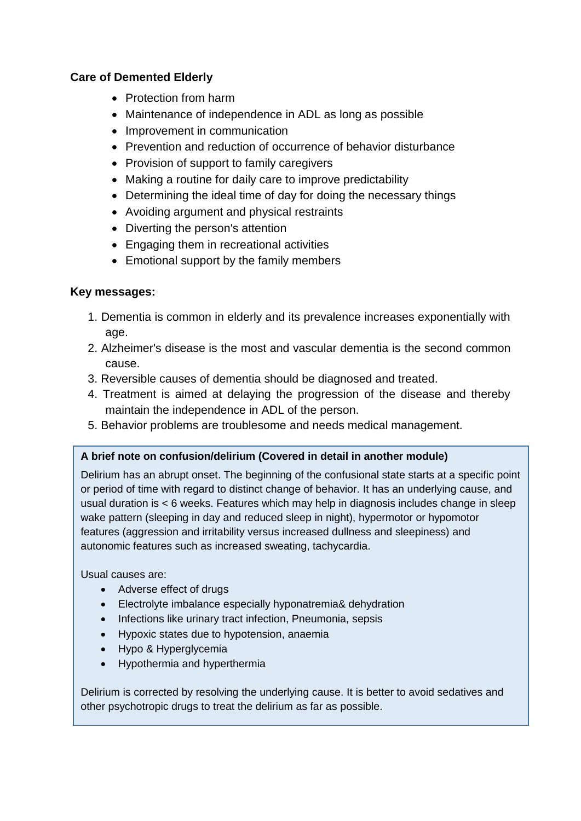## **Care of Demented Elderly**

- Protection from harm
- Maintenance of independence in ADL as long as possible
- Improvement in communication
- Prevention and reduction of occurrence of behavior disturbance
- Provision of support to family caregivers
- Making a routine for daily care to improve predictability
- Determining the ideal time of day for doing the necessary things
- Avoiding argument and physical restraints
- Diverting the person's attention
- Engaging them in recreational activities
- Emotional support by the family members

## **Key messages:**

- 1. Dementia is common in elderly and its prevalence increases exponentially with age.
- 2. Alzheimer's disease is the most and vascular dementia is the second common cause.
- 3. Reversible causes of dementia should be diagnosed and treated.
- 4. Treatment is aimed at delaying the progression of the disease and thereby maintain the independence in ADL of the person.
- 5. Behavior problems are troublesome and needs medical management.

#### **A brief note on confusion/delirium (Covered in detail in another module)**

Delirium has an abrupt onset. The beginning of the confusional state starts at a specific point or period of time with regard to distinct change of behavior. It has an underlying cause, and usual duration is < 6 weeks. Features which may help in diagnosis includes change in sleep wake pattern (sleeping in day and reduced sleep in night), hypermotor or hypomotor features (aggression and irritability versus increased dullness and sleepiness) and autonomic features such as increased sweating, tachycardia.

Usual causes are:

- Adverse effect of drugs
- Electrolyte imbalance especially hyponatremia& dehydration
- Infections like urinary tract infection, Pneumonia, sepsis
- Hypoxic states due to hypotension, anaemia
- Hypo & Hyperglycemia
- Hypothermia and hyperthermia

Delirium is corrected by resolving the underlying cause. It is better to avoid sedatives and other psychotropic drugs to treat the delirium as far as possible.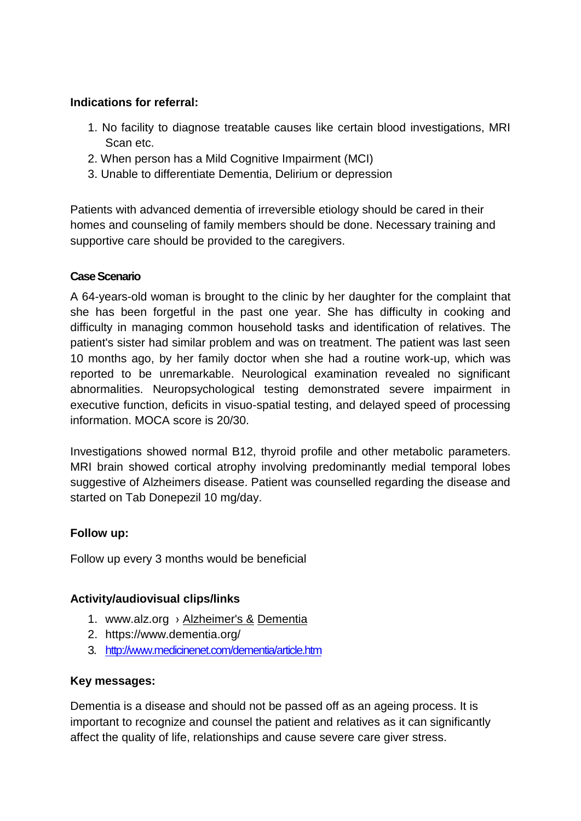# **Indications for referral:**

- 1. No facility to diagnose treatable causes like certain blood investigations, MRI Scan etc.
- 2. When person has a Mild Cognitive Impairment (MCI)
- 3. Unable to differentiate Dementia, Delirium or depression

Patients with advanced dementia of irreversible etiology should be cared in their homes and counseling of family members should be done. Necessary training and supportive care should be provided to the caregivers.

## **Case Scenario**

A 64-years-old woman is brought to the clinic by her daughter for the complaint that she has been forgetful in the past one year. She has difficulty in cooking and difficulty in managing common household tasks and identification of relatives. The patient's sister had similar problem and was on treatment. The patient was last seen 10 months ago, by her family doctor when she had a routine work-up, which was reported to be unremarkable. Neurological examination revealed no significant abnormalities. Neuropsychological testing demonstrated severe impairment in executive function, deficits in visuo-spatial testing, and delayed speed of processing information. MOCA score is 20/30.

Investigations showed normal B12, thyroid profile and other metabolic parameters. MRI brain showed cortical atrophy involving predominantly medial temporal lobes suggestive of Alzheimers disease. Patient was counselled regarding the disease and started on Tab Donepezil 10 mg/day.

## **Follow up:**

Follow up every 3 months would be beneficial

## **Activity/audiovisual clips/links**

- 1. www.alz.org › [Alzheimer's &](http://www.alz.org/alzheimers_disease.asp) Dementia
- 2. https://www.dementia.org/
- 3. <http://www.medicinenet.com/dementia/article.htm>

## **Key messages:**

Dementia is a disease and should not be passed off as an ageing process. It is important to recognize and counsel the patient and relatives as it can significantly affect the quality of life, relationships and cause severe care giver stress.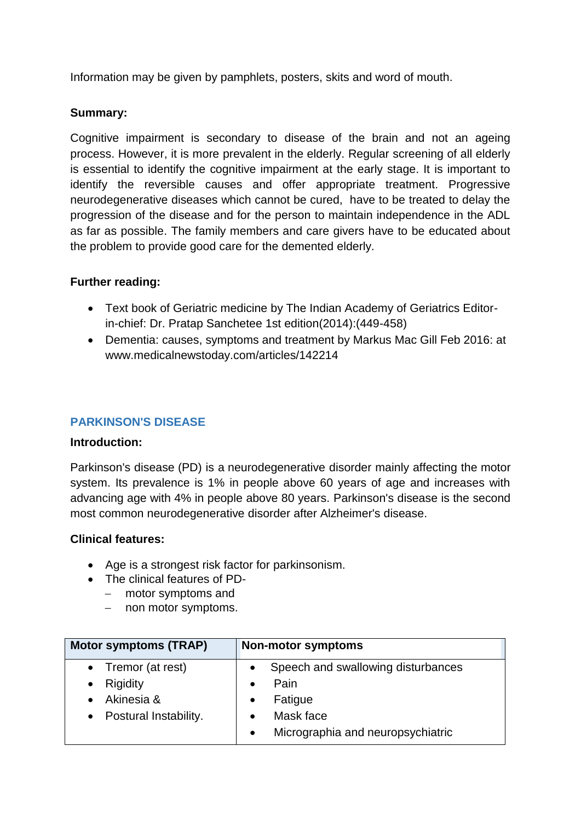Information may be given by pamphlets, posters, skits and word of mouth.

## **Summary:**

Cognitive impairment is secondary to disease of the brain and not an ageing process. However, it is more prevalent in the elderly. Regular screening of all elderly is essential to identify the cognitive impairment at the early stage. It is important to identify the reversible causes and offer appropriate treatment. Progressive neurodegenerative diseases which cannot be cured, have to be treated to delay the progression of the disease and for the person to maintain independence in the ADL as far as possible. The family members and care givers have to be educated about the problem to provide good care for the demented elderly.

## **Further reading:**

- Text book of Geriatric medicine by The Indian Academy of Geriatrics Editorin-chief: Dr. Pratap Sanchetee 1st edition(2014):(449-458)
- Dementia: causes, symptoms and treatment by Markus Mac Gill Feb 2016: at www.medicalnewstoday.com/articles/142214

## **PARKINSON'S DISEASE**

#### **Introduction:**

Parkinson's disease (PD) is a neurodegenerative disorder mainly affecting the motor system. Its prevalence is 1% in people above 60 years of age and increases with advancing age with 4% in people above 80 years. Parkinson's disease is the second most common neurodegenerative disorder after Alzheimer's disease.

#### **Clinical features:**

- Age is a strongest risk factor for parkinsonism.
- The clinical features of PD-
	- − motor symptoms and
	- − non motor symptoms.

| <b>Motor symptoms (TRAP)</b> | Non-motor symptoms                              |
|------------------------------|-------------------------------------------------|
| • Tremor (at rest)           | Speech and swallowing disturbances<br>$\bullet$ |
| Rigidity<br>$\bullet$        | Pain                                            |
| Akinesia &                   | Fatigue<br>$\bullet$                            |
| Postural Instability.        | Mask face<br>$\bullet$                          |
|                              | Micrographia and neuropsychiatric<br>$\bullet$  |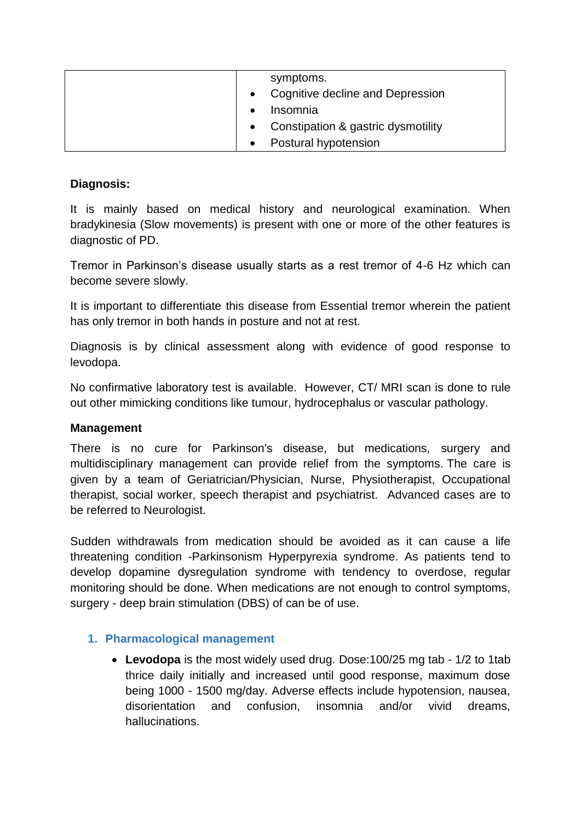|  | symptoms.                          |
|--|------------------------------------|
|  | Cognitive decline and Depression   |
|  | Insomnia                           |
|  | Constipation & gastric dysmotility |
|  | Postural hypotension               |

# **Diagnosis:**

It is mainly based on medical history and neurological examination. When bradykinesia (Slow movements) is present with one or more of the other features is diagnostic of PD.

Tremor in Parkinson's disease usually starts as a rest tremor of 4-6 Hz which can become severe slowly.

It is important to differentiate this disease from Essential tremor wherein the patient has only tremor in both hands in posture and not at rest.

Diagnosis is by clinical assessment along with evidence of good response to levodopa.

No confirmative laboratory test is available. However, CT/ MRI scan is done to rule out other mimicking conditions like tumour, hydrocephalus or vascular pathology.

#### **Management**

There is no cure for Parkinson's disease, but medications, surgery and multidisciplinary management can provide relief from the symptoms. The care is given by a team of Geriatrician/Physician, Nurse, Physiotherapist, Occupational therapist, social worker, speech therapist and psychiatrist. Advanced cases are to be referred to Neurologist.

Sudden withdrawals from medication should be avoided as it can cause a life threatening condition -Parkinsonism Hyperpyrexia syndrome. As patients tend to develop dopamine dysregulation syndrome with tendency to overdose, regular monitoring should be done. When medications are not enough to control symptoms, surgery - deep brain stimulation (DBS) of can be of use.

## **1. Pharmacological management**

• **Levodopa** is the most widely used drug. Dose:100/25 mg tab - 1/2 to 1tab thrice daily initially and increased until good response, maximum dose being 1000 - 1500 mg/day. Adverse effects include hypotension, nausea, disorientation and confusion, insomnia and/or vivid dreams, hallucinations.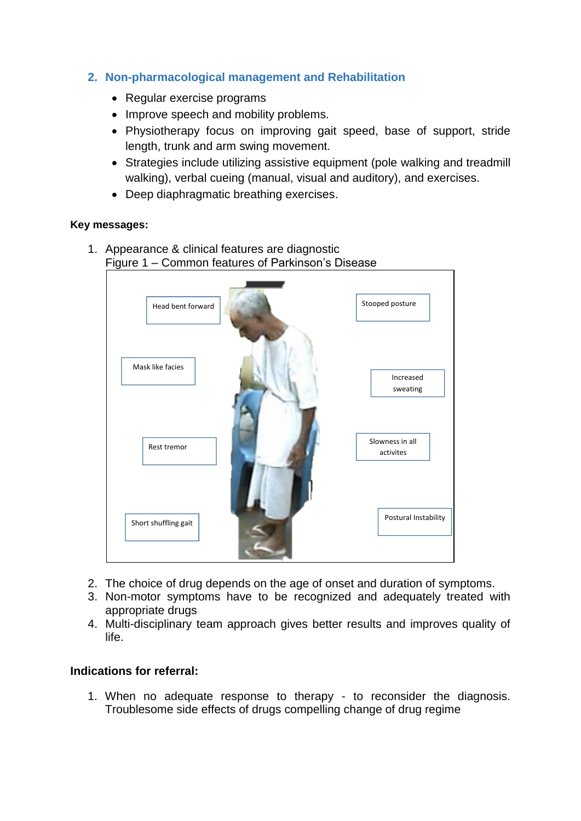## **2. Non-pharmacological management and Rehabilitation**

- Regular exercise programs
- Improve speech and mobility problems.
- Physiotherapy focus on improving gait speed, base of support, stride length, trunk and arm swing movement.
- Strategies include utilizing assistive equipment (pole walking and treadmill walking), verbal cueing (manual, visual and auditory), and exercises.
- Deep diaphragmatic breathing exercises.

#### **Key messages:**

1. Appearance & clinical features are diagnostic Figure 1 – Common features of Parkinson's Disease



- 2. The choice of drug depends on the age of onset and duration of symptoms.
- 3. Non-motor symptoms have to be recognized and adequately treated with appropriate drugs
- 4. Multi-disciplinary team approach gives better results and improves quality of life.

## **Indications for referral:**

1. When no adequate response to therapy - to reconsider the diagnosis. Troublesome side effects of drugs compelling change of drug regime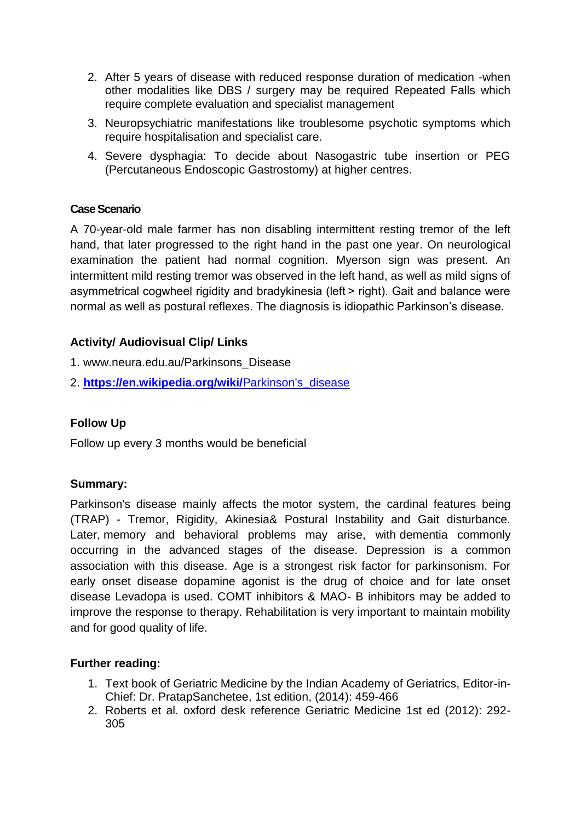- 2. After 5 years of disease with reduced response duration of medication -when other modalities like DBS / surgery may be required Repeated Falls which require complete evaluation and specialist management
- 3. Neuropsychiatric manifestations like troublesome psychotic symptoms which require hospitalisation and specialist care.
- 4. Severe dysphagia: To decide about Nasogastric tube insertion or PEG (Percutaneous Endoscopic Gastrostomy) at higher centres.

## **Case Scenario**

A 70-year-old male farmer has non disabling intermittent resting tremor of the left hand, that later progressed to the right hand in the past one year. On neurological examination the patient had normal cognition. Myerson sign was present. An intermittent mild resting tremor was observed in the left hand, as well as mild signs of asymmetrical cogwheel rigidity and bradykinesia (left > right). Gait and balance were normal as well as postural reflexes. The diagnosis is idiopathic Parkinson's disease.

## **Activity/ Audiovisual Clip/ Links**

- 1. www.neura.edu.au/Parkinsons\_Disease
- 2. **[https://en.wikipedia.org/wiki/](https://en.wikipedia.org/wiki/Parkinson)**Parkinson's**\_**disease

## **Follow Up**

Follow up every 3 months would be beneficial

#### **Summary:**

Parkinson's disease mainly affects the motor system, the cardinal features being (TRAP) - Tremor, Rigidity, Akinesia& Postural Instability and Gait disturbance. Later, memory and behavioral problems may arise, with dementia commonly occurring in the advanced stages of the disease. Depression is a common association with this disease. Age is a strongest risk factor for parkinsonism. For early onset disease dopamine agonist is the drug of choice and for late onset disease Levadopa is used. COMT inhibitors & MAO- B inhibitors may be added to improve the response to therapy. Rehabilitation is very important to maintain mobility and for good quality of life.

#### **Further reading:**

- 1. Text book of Geriatric Medicine by the Indian Academy of Geriatrics, Editor-in-Chief: Dr. PratapSanchetee, 1st edition, (2014): 459-466
- 2. Roberts et al. oxford desk reference Geriatric Medicine 1st ed (2012): 292- 305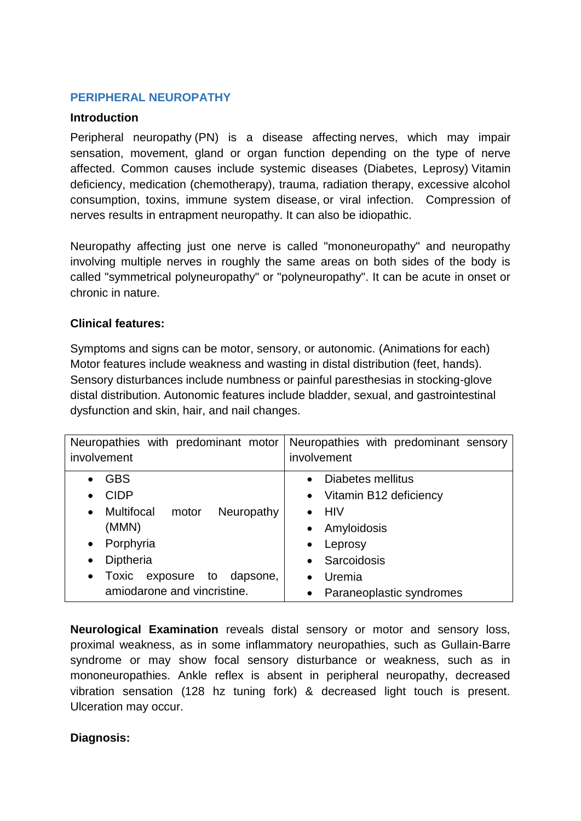# **PERIPHERAL NEUROPATHY**

## **Introduction**

Peripheral neuropathy (PN) is a disease affecting nerves, which may impair sensation, movement, gland or organ function depending on the type of nerve affected. Common causes include systemic diseases (Diabetes, Leprosy) Vitamin deficiency, medication (chemotherapy), trauma, radiation therapy, excessive alcohol consumption, toxins, immune system disease, or viral infection. Compression of nerves results in entrapment neuropathy. It can also be idiopathic.

Neuropathy affecting just one nerve is called "mononeuropathy" and neuropathy involving multiple nerves in roughly the same areas on both sides of the body is called "symmetrical polyneuropathy" or "polyneuropathy". It can be acute in onset or chronic in nature.

## **Clinical features:**

Symptoms and signs can be motor, sensory, or autonomic. (Animations for each) Motor features include weakness and wasting in distal distribution (feet, hands). Sensory disturbances include numbness or painful paresthesias in stocking-glove distal distribution. Autonomic features include bladder, sexual, and gastrointestinal dysfunction and skin, hair, and nail changes.

| Neuropathies with predominant motor<br>involvement    | Neuropathies with predominant sensory<br>involvement |
|-------------------------------------------------------|------------------------------------------------------|
| <b>GBS</b>                                            | Diabetes mellitus<br>$\bullet$                       |
| <b>CIDP</b>                                           | • Vitamin B12 deficiency                             |
| <b>Multifocal</b><br>Neuropathy<br>motor<br>$\bullet$ | <b>HIV</b>                                           |
| (MMN)                                                 | Amyloidosis<br>$\bullet$                             |
| Porphyria<br>$\bullet$                                | Leprosy<br>$\bullet$                                 |
| Diptheria<br>$\bullet$                                | Sarcoidosis<br>$\bullet$                             |
| Toxic<br>exposure to<br>dapsone,<br>$\bullet$         | Uremia<br>$\bullet$                                  |
| amiodarone and vincristine.                           | Paraneoplastic syndromes<br>$\bullet$                |

**Neurological Examination** reveals distal sensory or motor and sensory loss, proximal weakness, as in some inflammatory neuropathies, such as Gullain-Barre syndrome or may show focal sensory disturbance or weakness, such as in mononeuropathies. Ankle reflex is absent in peripheral neuropathy, decreased vibration sensation (128 hz tuning fork) & decreased light touch is present. Ulceration may occur.

## **Diagnosis:**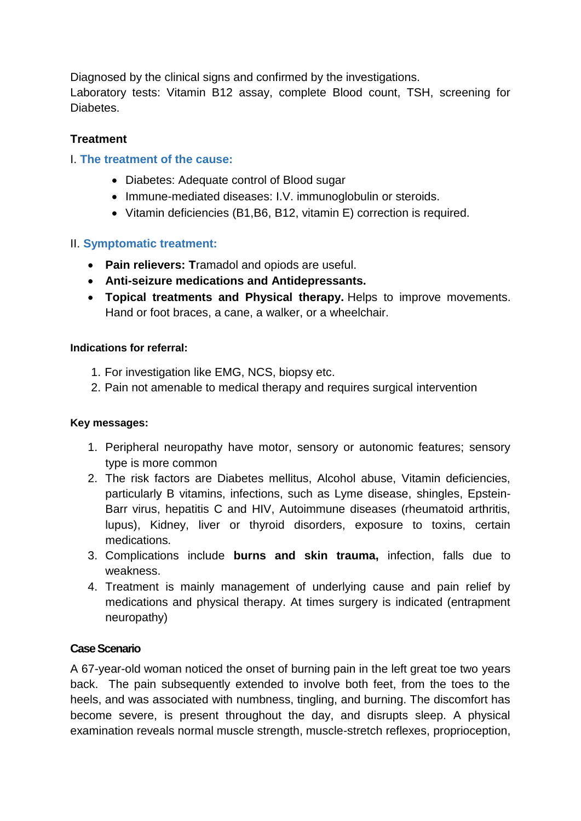Diagnosed by the clinical signs and confirmed by the investigations. Laboratory tests: Vitamin B12 assay, complete Blood count, TSH, screening for **Diabetes** 

# **Treatment**

# I. **The treatment of the cause:**

- Diabetes: Adequate control of Blood sugar
- Immune-mediated diseases: I.V. immunoglobulin or steroids.
- Vitamin deficiencies (B1,B6, B12, vitamin E) correction is required.

# II. **Symptomatic treatment:**

- **Pain relievers: T**ramadol and opiods are useful.
- **Anti-seizure medications and Antidepressants.**
- **Topical treatments and Physical therapy.** Helps to improve movements. Hand or foot braces, a cane, a walker, or a wheelchair.

## **Indications for referral:**

- 1. For investigation like EMG, NCS, biopsy etc.
- 2. Pain not amenable to medical therapy and requires surgical intervention

## **Key messages:**

- 1. Peripheral neuropathy have motor, sensory or autonomic features; sensory type is more common
- 2. The risk factors are Diabetes mellitus, Alcohol abuse, Vitamin deficiencies, particularly B vitamins, infections, such as Lyme disease, shingles, Epstein-Barr virus, hepatitis C and HIV, Autoimmune diseases (rheumatoid arthritis, lupus), Kidney, liver or thyroid disorders, exposure to toxins, certain medications.
- 3. Complications include **burns and skin trauma,** infection, falls due to weakness.
- 4. Treatment is mainly management of underlying cause and pain relief by medications and physical therapy. At times surgery is indicated (entrapment neuropathy)

## **Case Scenario**

A 67-year-old woman noticed the onset of burning pain in the left great toe two years back. The pain subsequently extended to involve both feet, from the toes to the heels, and was associated with numbness, tingling, and burning. The discomfort has become severe, is present throughout the day, and disrupts sleep. A physical examination reveals normal muscle strength, muscle-stretch reflexes, proprioception,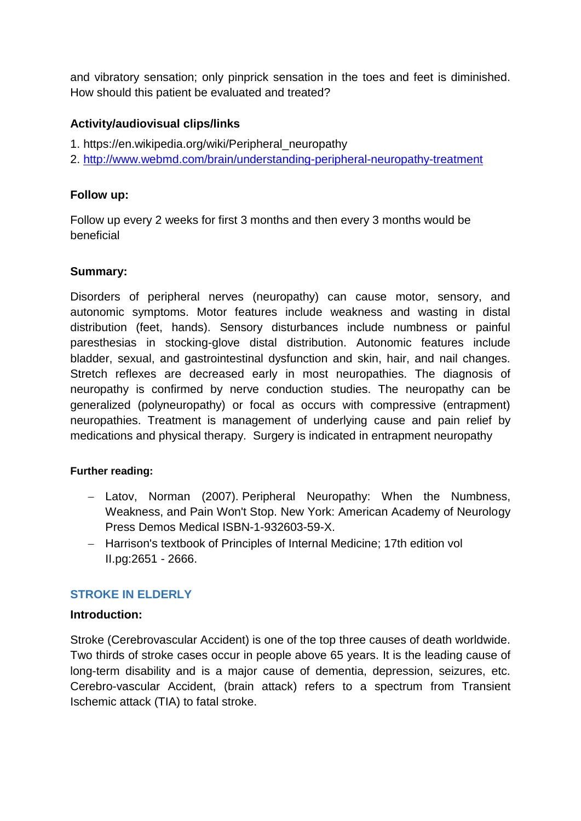and vibratory sensation; only pinprick sensation in the toes and feet is diminished. How should this patient be evaluated and treated?

# **Activity/audiovisual clips/links**

- 1. https://en.wikipedia.org/wiki/Peripheral\_neuropathy
- 2.<http://www.webmd.com/brain/understanding-peripheral-neuropathy-treatment>

## **Follow up:**

Follow up every 2 weeks for first 3 months and then every 3 months would be beneficial

## **Summary:**

Disorders of peripheral nerves (neuropathy) can cause motor, sensory, and autonomic symptoms. Motor features include weakness and wasting in distal distribution (feet, hands). Sensory disturbances include numbness or painful paresthesias in stocking-glove distal distribution. Autonomic features include bladder, sexual, and gastrointestinal dysfunction and skin, hair, and nail changes. Stretch reflexes are decreased early in most neuropathies. The diagnosis of neuropathy is confirmed by nerve conduction studies. The neuropathy can be generalized (polyneuropathy) or focal as occurs with compressive (entrapment) neuropathies. Treatment is management of underlying cause and pain relief by medications and physical therapy. Surgery is indicated in entrapment neuropathy

#### **Further reading:**

- − Latov, Norman (2007). Peripheral Neuropathy: When the Numbness, Weakness, and Pain Won't Stop. New York: American Academy of Neurology Press Demos Medical ISBN-1-932603-59-X.
- − Harrison's textbook of Principles of Internal Medicine; 17th edition vol II.pg:2651 - 2666.

## **STROKE IN ELDERLY**

#### **Introduction:**

Stroke (Cerebrovascular Accident) is one of the top three causes of death worldwide. Two thirds of stroke cases occur in people above 65 years. It is the leading cause of long-term disability and is a major cause of dementia, depression, seizures, etc. Cerebro-vascular Accident, (brain attack) refers to a spectrum from Transient Ischemic attack (TIA) to fatal stroke.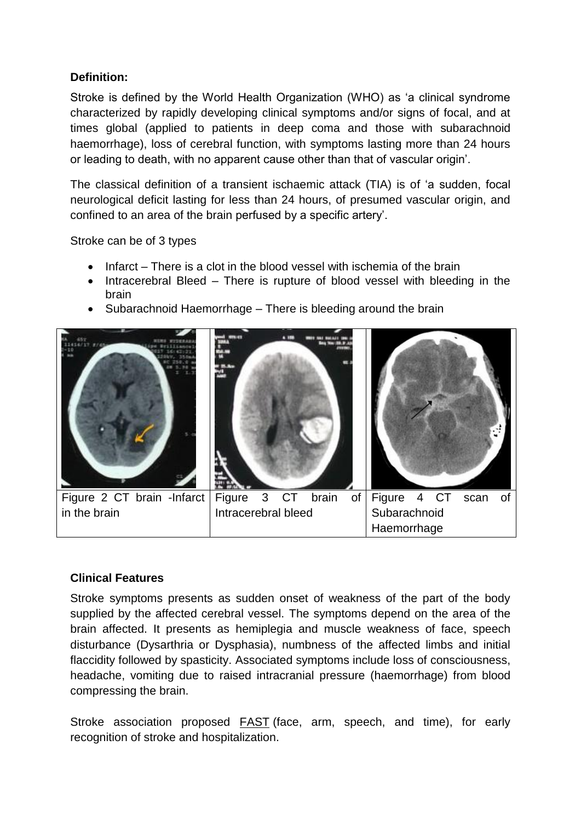# **Definition:**

Stroke is defined by the World Health Organization (WHO) as 'a clinical syndrome characterized by rapidly developing clinical symptoms and/or signs of focal, and at times global (applied to patients in deep coma and those with subarachnoid haemorrhage), loss of cerebral function, with symptoms lasting more than 24 hours or leading to death, with no apparent cause other than that of vascular origin'.

The classical definition of a transient ischaemic attack (TIA) is of 'a sudden, focal neurological deficit lasting for less than 24 hours, of presumed vascular origin, and confined to an area of the brain perfused by a specific artery'.

Stroke can be of 3 types

- Infarct There is a clot in the blood vessel with ischemia of the brain
- Intracerebral Bleed There is rupture of blood vessel with bleeding in the brain
- Subarachnoid Haemorrhage There is bleeding around the brain



## **Clinical Features**

Stroke symptoms presents as sudden onset of weakness of the part of the body supplied by the affected cerebral vessel. The symptoms depend on the area of the brain affected. It presents as hemiplegia and muscle weakness of face, speech disturbance (Dysarthria or Dysphasia), numbness of the affected limbs and initial flaccidity followed by spasticity. Associated symptoms include loss of consciousness, headache, vomiting due to raised intracranial pressure (haemorrhage) from blood compressing the brain.

Stroke association proposed **[FAST](https://en.wikipedia.org/wiki/FAST_(stroke))** (face, arm, speech, and time), for early recognition of stroke and hospitalization.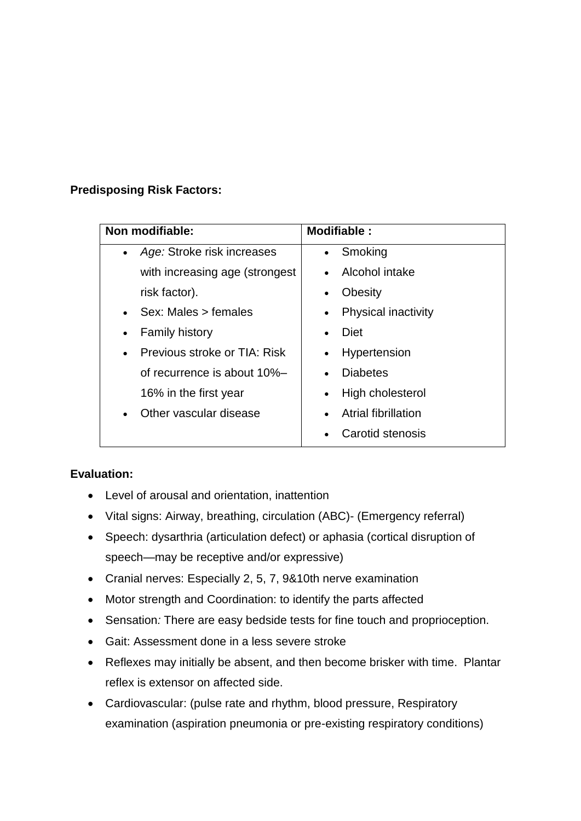# **Predisposing Risk Factors:**

| Non modifiable:                           | Modifiable:                             |
|-------------------------------------------|-----------------------------------------|
| Age: Stroke risk increases<br>$\bullet$   | Smoking<br>$\bullet$                    |
| with increasing age (strongest            | Alcohol intake<br>$\bullet$             |
| risk factor).                             | <b>Obesity</b><br>$\bullet$             |
| Sex: Males > females                      | <b>Physical inactivity</b><br>$\bullet$ |
| <b>Family history</b><br>$\bullet$        | Diet<br>$\bullet$                       |
| Previous stroke or TIA: Risk<br>$\bullet$ | Hypertension<br>$\bullet$               |
| of recurrence is about 10%-               | <b>Diabetes</b><br>$\bullet$            |
| 16% in the first year                     | High cholesterol<br>$\bullet$           |
| Other vascular disease                    | Atrial fibrillation<br>$\bullet$        |
|                                           | Carotid stenosis                        |

## **Evaluation:**

- Level of arousal and orientation, inattention
- Vital signs: Airway, breathing, circulation (ABC)- (Emergency referral)
- Speech: dysarthria (articulation defect) or aphasia (cortical disruption of speech—may be receptive and/or expressive)
- Cranial nerves: Especially 2, 5, 7, 9&10th nerve examination
- Motor strength and Coordination: to identify the parts affected
- Sensation*:* There are easy bedside tests for fine touch and proprioception.
- Gait: Assessment done in a less severe stroke
- Reflexes may initially be absent, and then become brisker with time. Plantar reflex is extensor on affected side.
- Cardiovascular: (pulse rate and rhythm, blood pressure, Respiratory examination (aspiration pneumonia or pre-existing respiratory conditions)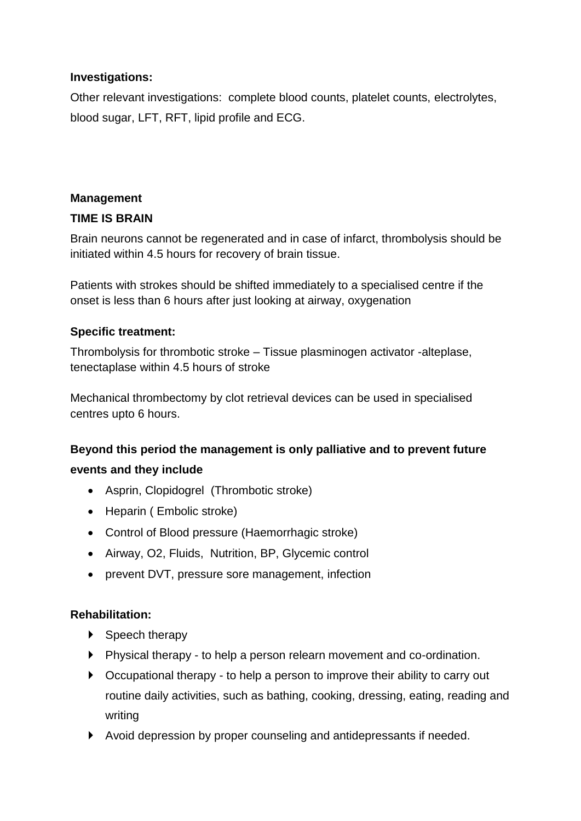# **Investigations:**

Other relevant investigations: complete blood counts, platelet counts, electrolytes, blood sugar, LFT, RFT, lipid profile and ECG.

# **Management**

# **TIME IS BRAIN**

Brain neurons cannot be regenerated and in case of infarct, thrombolysis should be initiated within 4.5 hours for recovery of brain tissue.

Patients with strokes should be shifted immediately to a specialised centre if the onset is less than 6 hours after just looking at airway, oxygenation

# **Specific treatment:**

Thrombolysis for thrombotic stroke – Tissue plasminogen activator -alteplase, tenectaplase within 4.5 hours of stroke

Mechanical thrombectomy by clot retrieval devices can be used in specialised centres upto 6 hours.

## **Beyond this period the management is only palliative and to prevent future**

## **events and they include**

- Asprin, Clopidogrel (Thrombotic stroke)
- Heparin ( Embolic stroke)
- Control of Blood pressure (Haemorrhagic stroke)
- Airway, O2, Fluids, Nutrition, BP, Glycemic control
- prevent DVT, pressure sore management, infection

## **Rehabilitation:**

- ▶ Speech therapy
- Physical therapy to help a person relearn movement and co-ordination.
- ▶ Occupational therapy to help a person to improve their ability to carry out routine daily activities, such as bathing, cooking, dressing, eating, reading and writing
- Avoid depression by proper counseling and antidepressants if needed.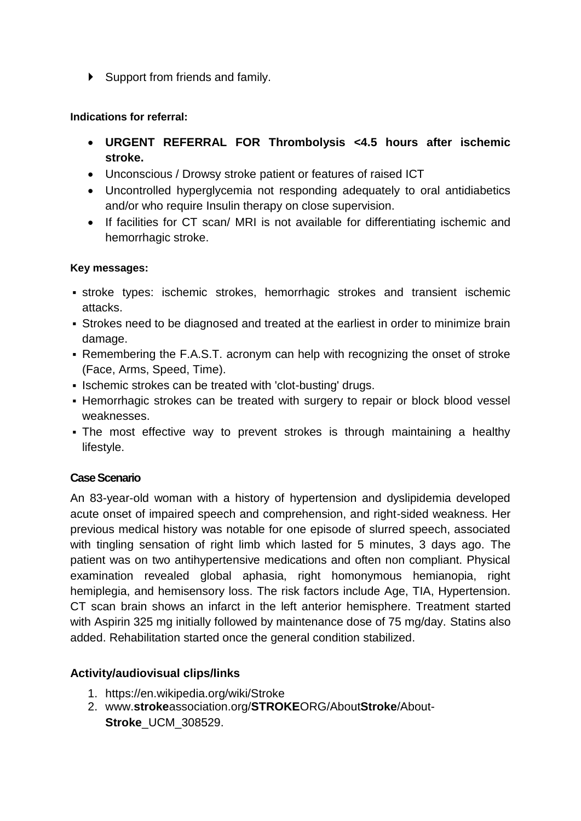▶ Support from friends and family.

#### **Indications for referral:**

- **URGENT REFERRAL FOR Thrombolysis <4.5 hours after ischemic stroke.**
- Unconscious / Drowsy stroke patient or features of raised ICT
- Uncontrolled hyperglycemia not responding adequately to oral antidiabetics and/or who require Insulin therapy on close supervision.
- If facilities for CT scan/ MRI is not available for differentiating ischemic and hemorrhagic stroke.

## **Key messages:**

- **stroke types: ischemic strokes, hemorrhagic strokes and transient ischemic** attacks.
- **Strokes need to be diagnosed and treated at the earliest in order to minimize brain** damage.
- Remembering the F.A.S.T. acronym can help with recognizing the onset of stroke (Face, Arms, Speed, Time).
- Ischemic strokes can be treated with 'clot-busting' drugs.
- **EXEDENT** Hemorrhagic strokes can be treated with surgery to repair or block blood vessel weaknesses.
- The most effective way to prevent strokes is through maintaining a healthy lifestyle.

## **Case Scenario**

An 83-year-old woman with a history of hypertension and dyslipidemia developed acute onset of impaired speech and comprehension, and right-sided weakness. Her previous medical history was notable for one episode of slurred speech, associated with tingling sensation of right limb which lasted for 5 minutes, 3 days ago. The patient was on two antihypertensive medications and often non compliant. Physical examination revealed global aphasia, right homonymous hemianopia, right hemiplegia, and hemisensory loss. The risk factors include Age, TIA, Hypertension. CT scan brain shows an infarct in the left anterior hemisphere. Treatment started with Aspirin 325 mg initially followed by maintenance dose of 75 mg/day. Statins also added. Rehabilitation started once the general condition stabilized.

## **Activity/audiovisual clips/links**

- 1. https://en.wikipedia.org/wiki/Stroke
- 2. www.**stroke**association.org/**STROKE**ORG/About**Stroke**/About-**Stroke**\_UCM\_308529.